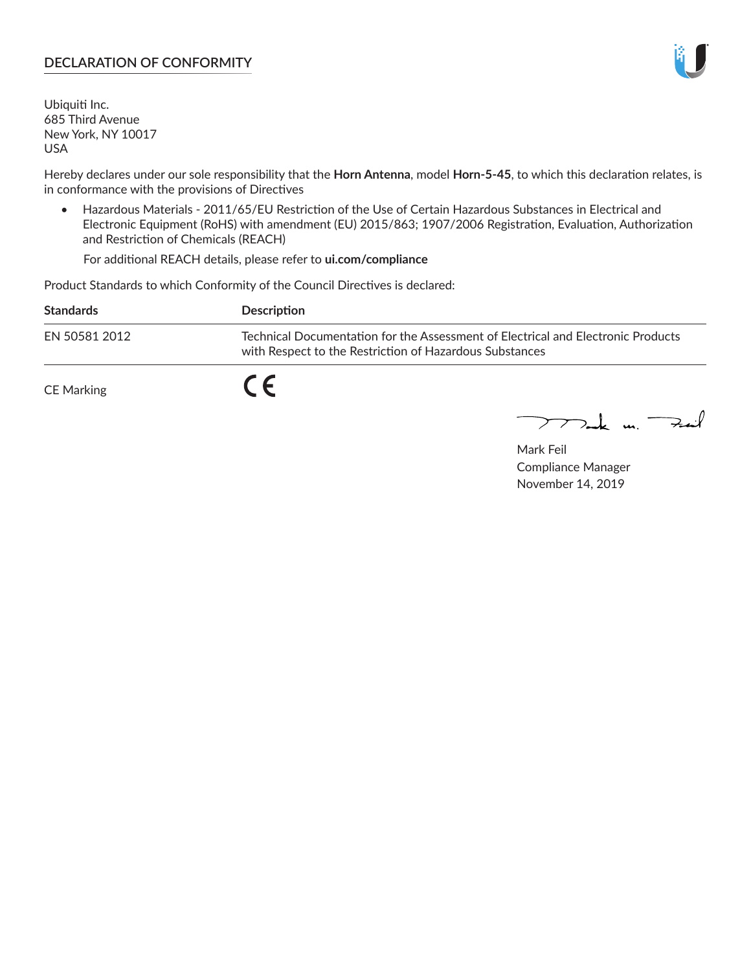## **DECLARATION OF CONFORMITY**

Ubiquiti Inc. 685 Third Avenue New York, NY 10017 USA

Hereby declares under our sole responsibility that the **Horn Antenna**, model **Horn-5-45**, to which this declaration relates, is in conformance with the provisions of Directives

• Hazardous Materials - 2011/65/EU Restriction of the Use of Certain Hazardous Substances in Electrical and Electronic Equipment (RoHS) with amendment (EU) 2015/863; 1907/2006 Registration, Evaluation, Authorization and Restriction of Chemicals (REACH)

For additional REACH details, please refer to **ui.com/compliance**

Product Standards to which Conformity of the Council Directives is declared:

| <b>Standards</b> | <b>Description</b>                                                                                                                          |
|------------------|---------------------------------------------------------------------------------------------------------------------------------------------|
| EN 50581 2012    | Technical Documentation for the Assessment of Electrical and Electronic Products<br>with Respect to the Restriction of Hazardous Substances |
| CE Marking       | $\epsilon$                                                                                                                                  |

 $\sum_{n=1}^{\infty}$  un  $\sum_{n=1}^{\infty}$ 

Mark Feil Compliance Manager November 14, 2019

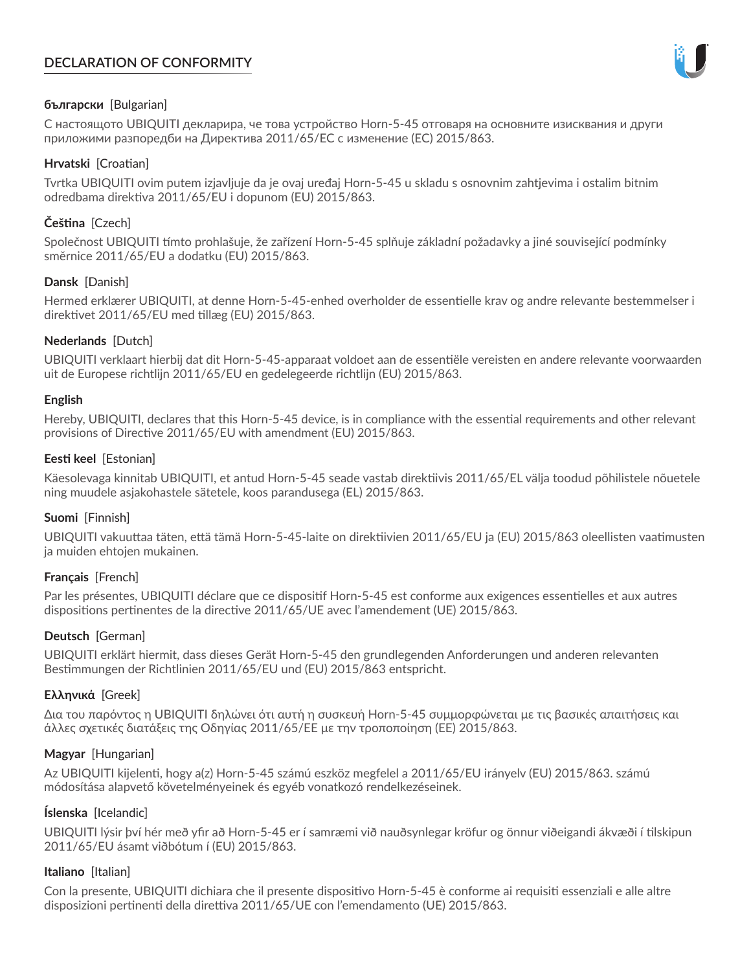# **DECLARATION OF CONFORMITY**



## **български** [Bulgarian]

С настоящото UBIQUITI декларира, че това устройство Horn-5-45 отговаря на основните изисквания и други приложими разпоредби на Директива 2011/65/ЕС с изменение (ЕС) 2015/863.

## **Hrvatski** [Croatian]

Tvrtka UBIQUITI ovim putem izjavljuje da je ovaj uređaj Horn-5-45 u skladu s osnovnim zahtjevima i ostalim bitnim odredbama direktiva 2011/65/EU i dopunom (EU) 2015/863.

## **Čeština** [Czech]

Společnost UBIQUITI tímto prohlašuje, že zařízení Horn-5-45 splňuje základní požadavky a jiné související podmínky směrnice 2011/65/EU a dodatku (EU) 2015/863.

## **Dansk** [Danish]

Hermed erklærer UBIQUITI, at denne Horn-5-45-enhed overholder de essentielle krav og andre relevante bestemmelser i direktivet 2011/65/EU med tillæg (EU) 2015/863.

## **Nederlands** [Dutch]

UBIQUITI verklaart hierbij dat dit Horn-5-45-apparaat voldoet aan de essentiële vereisten en andere relevante voorwaarden uit de Europese richtlijn 2011/65/EU en gedelegeerde richtlijn (EU) 2015/863.

#### **English**

Hereby, UBIQUITI, declares that this Horn-5-45 device, is in compliance with the essential requirements and other relevant provisions of Directive 2011/65/EU with amendment (EU) 2015/863.

## **Eesti keel** [Estonian]

Käesolevaga kinnitab UBIQUITI, et antud Horn-5-45 seade vastab direktiivis 2011/65/EL välja toodud põhilistele nõuetele ning muudele asjakohastele sätetele, koos parandusega (EL) 2015/863.

## **Suomi** [Finnish]

UBIQUITI vakuuttaa täten, että tämä Horn-5-45-laite on direktiivien 2011/65/EU ja (EU) 2015/863 oleellisten vaatimusten ja muiden ehtojen mukainen.

#### **Français** [French]

Par les présentes, UBIQUITI déclare que ce dispositif Horn-5-45 est conforme aux exigences essentielles et aux autres dispositions pertinentes de la directive 2011/65/UE avec l'amendement (UE) 2015/863.

## **Deutsch** [German]

UBIQUITI erklärt hiermit, dass dieses Gerät Horn-5-45 den grundlegenden Anforderungen und anderen relevanten Bestimmungen der Richtlinien 2011/65/EU und (EU) 2015/863 entspricht.

#### **Ελληνικά** [Greek]

Δια του παρόντος η UBIQUITI δηλώνει ότι αυτή η συσκευή Horn-5-45 συμμορφώνεται με τις βασικές απαιτήσεις και άλλες σχετικές διατάξεις της Οδηγίας 2011/65/ΕΕ με την τροποποίηση (ΕΕ) 2015/863.

#### **Magyar** [Hungarian]

Az UBIQUITI kijelenti, hogy a(z) Horn-5-45 számú eszköz megfelel a 2011/65/EU irányelv (EU) 2015/863. számú módosítása alapvető követelményeinek és egyéb vonatkozó rendelkezéseinek.

#### **Íslenska** [Icelandic]

UBIQUITI lýsir því hér með yfir að Horn-5-45 er í samræmi við nauðsynlegar kröfur og önnur viðeigandi ákvæði í tilskipun 2011/65/EU ásamt viðbótum í (EU) 2015/863.

#### **Italiano** [Italian]

Con la presente, UBIQUITI dichiara che il presente dispositivo Horn-5-45 è conforme ai requisiti essenziali e alle altre disposizioni pertinenti della direttiva 2011/65/UE con l'emendamento (UE) 2015/863.